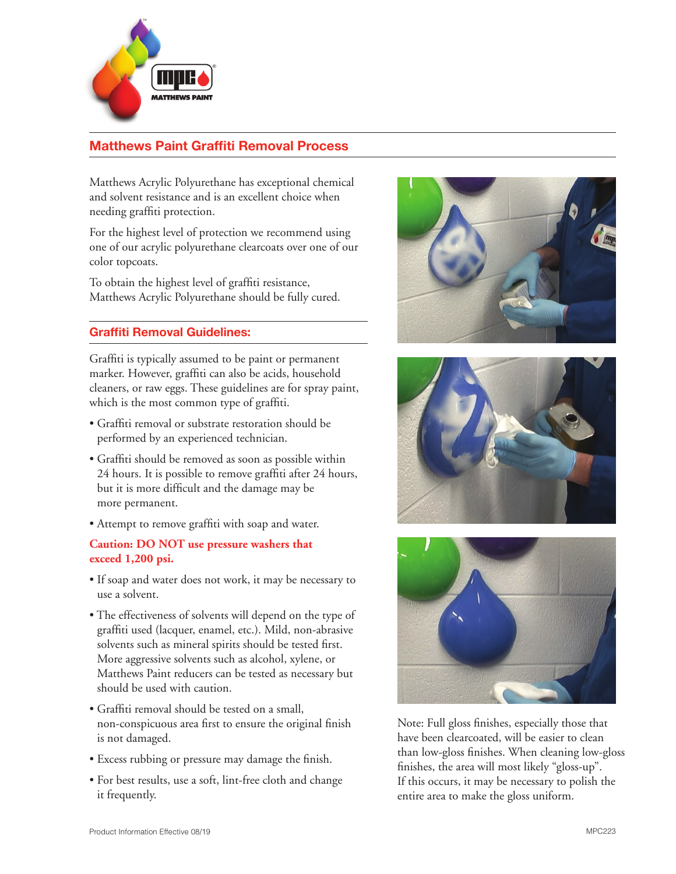

# **Matthews Paint Graffiti Removal Process**

Matthews Acrylic Polyurethane has exceptional chemical and solvent resistance and is an excellent choice when needing graffiti protection.

For the highest level of protection we recommend using one of our acrylic polyurethane clearcoats over one of our color topcoats.

To obtain the highest level of graffiti resistance, Matthews Acrylic Polyurethane should be fully cured.

# **Graffiti Removal Guidelines:**

Graffiti is typically assumed to be paint or permanent marker. However, graffiti can also be acids, household cleaners, or raw eggs. These guidelines are for spray paint, which is the most common type of graffiti.

- Graffiti removal or substrate restoration should be performed by an experienced technician.
- Graffiti should be removed as soon as possible within 24 hours. It is possible to remove graffiti after 24 hours, but it is more difficult and the damage may be more permanent.
- Attempt to remove graffiti with soap and water.

### **Caution: DO NOT use pressure washers that exceed 1,200 psi.**

- If soap and water does not work, it may be necessary to use a solvent.
- The effectiveness of solvents will depend on the type of graffiti used (lacquer, enamel, etc.). Mild, non-abrasive solvents such as mineral spirits should be tested first. More aggressive solvents such as alcohol, xylene, or Matthews Paint reducers can be tested as necessary but should be used with caution.
- Graffiti removal should be tested on a small, non-conspicuous area first to ensure the original finish is not damaged.
- Excess rubbing or pressure may damage the finish.
- For best results, use a soft, lint-free cloth and change it frequently.







Note: Full gloss finishes, especially those that have been clearcoated, will be easier to clean than low-gloss finishes. When cleaning low-gloss finishes, the area will most likely "gloss-up". If this occurs, it may be necessary to polish the entire area to make the gloss uniform.